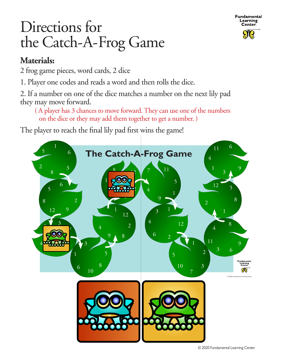

## Directions for the Catch-A-Frog Game

## **Materials:**

2 frog game pieces, word cards, 2 dice

1. Player one codes and reads a word and then rolls the dice.

2. If a number on one of the dice matches a number on the next lily pad they may move forward.

 ( A player has 3 chances to move forward. They can use one of the numbers on the dice or they may add them together to get a number. )

The player to reach the final lily pad first wins the game!

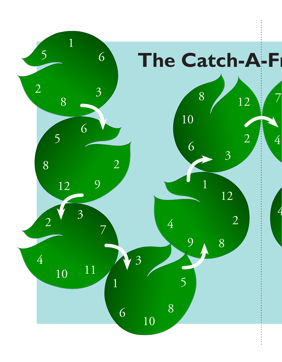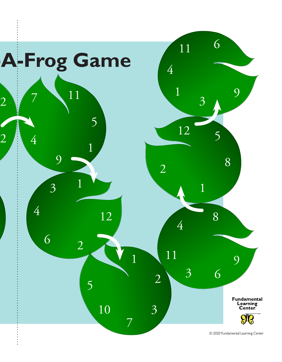